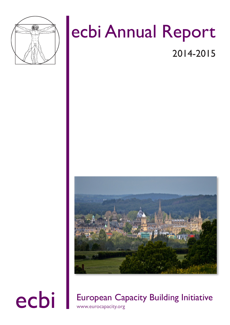

# ecbi Annual Report

2014-2015



ecbi European Capacity Building Initiative www.eurocapacity.org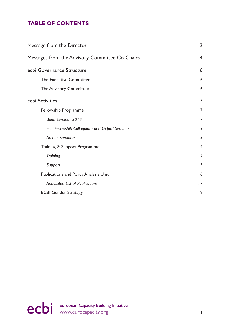## **TABLE OF CONTENTS**

| <b>Message from the Director</b>               | $\overline{2}$ |
|------------------------------------------------|----------------|
| Messages from the Advisory Committee Co-Chairs | $\overline{4}$ |
| ecbi Governance Structure                      | 6              |
| The Executive Committee                        | 6              |
| <b>The Advisory Committee</b>                  | 6              |
| ecbi Activities                                | 7              |
| Fellowship Programme                           | 7              |
| Bonn Seminar 2014                              | 7              |
| ecbi Fellowship Colloquium and Oxford Seminar  | 9              |
| <b>Ad-hoc Seminars</b>                         | 13             |
| Training & Support Programme                   | 4              |
| <b>Training</b>                                | 4              |
| Support                                        | 15             |
| <b>Publications and Policy Analysis Unit</b>   | 16             |
| <b>Annotated List of Publications</b>          | 17             |
| <b>ECBI Gender Strategy</b>                    | 9              |

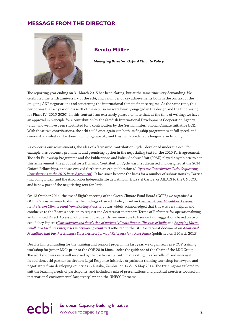### **MESSAGE FROM THE DIRECTOR**



### **Benito Müller**

 **Managing Director, Oxford Climate Policy**

The reporting year ending on 31 March 2015 has been elating, but at the same time very demanding. We celebrated the tenth anniversary of the ecbi, and a number of key achievements both in the context of the on-going ADP negotiations and concerning the international climate fnance regime. At the same time, this period was the last year of Phase III of the ecbi, so we were heavily engaged in the design and the fundraising for Phase IV (2015-2020). In this context I am extremely pleased to note that, at the time of writing, we have an approval in principle for a contribution by the Swedish International Development Cooperation Agency (Sida) and we have been shortlisted for a contribution by the German International Climate Initiative (ICI). With these two contributions, the ecbi could once again run both its fagship programmes at full speed, and demonstrate what can be done in building capacity and trust with predictable longer-term funding.

As concerns our achievements, the idea of a 'Dynamic Contribution Cycle', developed under the ecbi, for example, has become a prominent and promising option in the negotiating text for the 2015 Paris agreement. The ecbi Fellowship Programme and the Publications and Policy Analysis Unit (PPAU) played a symbiotic role in this achievement: the proposal for a Dynamic Contribution Cycle was frst discussed and designed at the 2014 Oxford Fellowships, and was evolved further in an ecbi publication (*A Dynamic Contribution Cycle: Sequencing Contributions in the 2015 Paris Agreement*). It has since become the basis for a number of submissions by Parties (including Brazil, and the Asociación Independiente de Latinoamérica y el Caribe, or AILAC) to the UNFCCC, and is now part of the negotiating text for Paris.

On 13 October 2014, the eve of Eighth meeting of the Green Climate Fund Board (GCFB) we organized a GCFB Caucus seminar to discuss the fndings of an ecbi Policy Brief on *Devolved Access Modalities: Lessons for the Green Climate Fund from Existing Practice*. It was widely acknowledged that this was very helpful and conducive to the Board's decision to request the Secretariat to prepare Terms of Reference for operationalizing an Enhanced Direct Access pilot phase. Subsequently, we were able to have certain suggestions based on two ecbi Policy Papers (*Consolidation and devolution of national climate fnance: Te case of India* and *Engaging Micro, Small, and Medium Enterprises in developing countries*) refected in the GCF Secretariat document on *Additional Modalities that Further Enhance Direct Access: Terms of Reference for a Pilot Phase* (published on 5 March 2015).

Despite limited funding for the training and support programme last year, we organised a pre-COP training workshop for junior LDCs prior to the COP 20 in Lima, under the guidance of the Chair of the LDC Group. The workshop was very well received by the participants, with many rating it as "excellent" and very useful. In addition, ecbi partner institution Legal Response Initiative organised a training workshop for lawyers and negotiators from developing countries in Lusaka, Zambia, on 14 & 15 May 2014. The training was tailored to suit the learning needs of participants, and included a mix of presentations and practical exercises focused on international environmental law, treaty law and the UNFCCC process.

ecbi European Capacity Building Initiative www.eurocapacity.org 2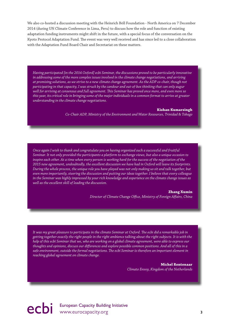We also co-hosted a discussion meeting with the Heinrich Böll Foundation - North America on 7 December 2014 (during UN Climate Conference in Lima, Peru) to discuss how the role and function of existing adaptation funding instruments might shift in the future, with a special focus of the conversation on the Kyoto Protocol Adaptation Fund. The event was very well received and has since led to a close collaboration with the Adaptation Fund Board Chair and Secretariat on these matters.

*Having participated [in the 2014 Oxford] ecbi Seminar, the discussions proved to be particularly innovative in addressing some of the more complex issues involved in the climate change negotiations, and arriving at promising solutions, as we strive to a new climate change agreement. As the ADP co-chair, though not participating in that capacity, I was struck by the candour and out-of-box thinking that can only augur well for arriving at consensus and full agreement. Tis Seminar has proved once more, and even more so this year, its critical role in bringing some of the major individuals in a common format to arrive at greater understanding in the climate change negotiations.*

#### **Kishan Kumarsingh**

*Co-Chair ADP, Ministry of the Environment and Water Resources, Trinidad & Tobago*

*Once again I wish to thank and congratulate you on having organized such a successful and fruitful Seminar. It not only provided the participants a platform to exchange views, but also a unique occasion to inspire each other. At a time when every person is working hard for the success of the negotiation of the 2015 new agreement, undoubtedly, the excellent discussion we have had in Oxford will leave its footprints. During the whole process, the unique role you have played was not only making us sit and talk together, but even more importantly, steering the discussion and putting our ideas together. I believe that every colleague in the Seminar was highly impressed by your rich knowledge and experience on the climate change issues as well as the excellent skill of leading the discussion.*

#### **Zhang Xumin**

*Director of Climate Change Ofce, Ministry of Foreign Afairs, China*

*It was my great pleasure to participate in the climate Seminar at Oxford. Te ecbi did a remarkable job in getting together exactly the right people in the right ambience talking about the right subjects. It is with the help of this ecbi Seminar that we, who are working on a global climate agreement, were able to express our thoughts and opinions, discuss our diferences and explore possible common positions. And all of this in a safe environment, outside the formal negotiations. Te ecbi Seminar is therefore an important element in reaching global agreement on climate change.*

> **Michel Rentenaar** *Climate Envoy, Kingdom of the Netherlands*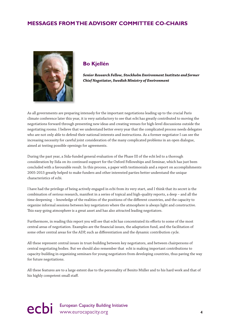## **MESSAGES FROM THE ADVISORY COMMITTEE CO-CHAIRS**



### **Bo Kjellén**

 **Senior Research Fellow, Stockholm Environment Institute and former Chief Negotiator, Swedish Ministry of Environment**

As all governments are preparing intensely for the important negotiations leading up to the crucial Paris climate conference later this year, it is very satisfactory to see that ecbi has greatly contributed to moving the negotiations forward through presenting new ideas and creating venues for high-level discussions outside the negotiating rooms. I believe that we understand better every year that the complicated process needs delegates who are not only able to defend their national interests and instructions. As a former negotiator I can see the increasing necessity for careful joint consideration of the many complicated problems in an open dialogue, aimed at testing possible openings for agreements.

During the past year, a Sida-funded general evaluation of the Phase III of the ecbi led to a thorough consideration by Sida on its continued support for the Oxford Fellowships and Seminar, which has just been concluded with a favourable result. In this process, a paper with testimonials and a report on accomplishments 2005-2015 greatly helped to make funders and other interested parties better understand the unique characteristics of ecbi.

I have had the privilege of being actively engaged in ecbi from its very start, and I think that its secret is the combination of serious research, manifest in a series of topical and high-quality reports, a deep – and all the time deepening – knowledge of the realities of the positions of the diferent countries, and the capacity to organize informal sessions between key negotiators where the atmosphere is always light and constructive. This easy-going atmosphere is a great asset and has also attracted leading negotiators.

Furthermore, in reading this report you will see that ecbi has concentrated its efforts to some of the most central areas of negotiation. Examples are the fnancial issues, the adaptation fund, and the facilitation of some other central areas for the ADP, such as diferentiation and the dynamic contribution cycle.

All these represent central issues in trust-building between key negotiators, and between chairpersons of central negotiating bodies. But we should also remember that ecbi is making important contributions to capacity-building in organizing seminars for young negotiators from developing countries, thus paving the way for future negotiations.

All these features are to a large extent due to the personality of Benito Müller and to his hard work and that of his highly competent small staf.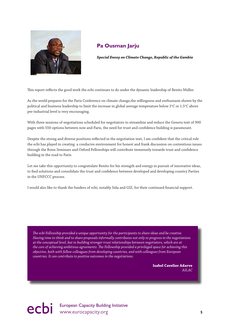

## **Pa Ousman Jarju**

 **Special Envoy on Climate Change, Republic of the Gambia**

Tis report refects the good work the ecbi continues to do under the dynamic leadership of Benito Müller.

As the world prepares for the Paris Conference on climate change,the willingness and enthusiasm shown by the political and business leadership to limit the increase in global average temperature below 2°C or 1.5°C above pre-industrial level is very encouraging.

With three sessions of negotiations scheduled for negotiators to streamline and reduce the Geneva text of 900 pages with 550 options between now and Paris, the need for trust and confdence building is paramount.

Despite the strong and diverse positions refected in the negotiation text, I am confdent that the critical role the ecbi has played in creating a conducive environment for honest and frank discussion on contentious issues through the Bonn Seminars and Oxford Fellowships will contribute immensely towards trust and confdence building in the road to Paris.

Let me take this opportunity to congratulate Benito for his strength and energy in pursuit of innovative ideas, to fnd solutions and consolidate the trust and confdence between developed and developing country Parties in the UNFCCC process.

I would also like to thank the funders of ecbi, notably Sida and GIZ, for their continued fnancial support.

*Te ecbi Fellowship provided a unique opportunity for the participants to share ideas and be creative. Having time to think and to share proposals informally contributes not only to progress in the negotiations at the conceptual level, but to building stronger trust relationships between negotiators, which are at the core of achieving ambitious agreements. Te Fellowship provided a privileged space for achieving this objective, both with fellow colleagues from developing countries, and with colleagues from European countries. It can contribute to positive outcomes in the negotiations.*

> **Isabel Cavelier Adarve** *AILAC*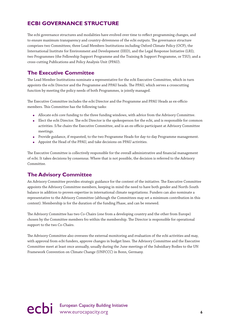## **ECBI GOVERNANCE STRUCTURE**

The ecbi governance structures and modalities have evolved over time to reflect programming changes, and to ensure maximum transparency and country-drivenness of the ecbi outputs. The governance structure comprises two Committees; three Lead Members Institutions including Oxford Climate Policy (OCP), the International Institute for Environment and Development (IIED), and the Legal Response Initiative (LRI); two Programmes (the Fellowship Support Programme and the Training & Support Programme, or TSU); and a cross-cutting Publications and Policy Analysis Unit (PPAU).

## **The Executive Committee**

The Lead Member Institutions nominate a representative for the ecbi Executive Committee, which in turn appoints the ecbi Director and the Programme and PPAU heads. The PPAU, which serves a crosscutting function by meeting the policy needs of both Programmes, is jointly managed.

The Executive Committee includes the ecbi Director and the Programme and PPAU Heads as ex-officio members. This Committee has the following tasks:

- Allocate ecbi core funding to the three funding windows, with advice from the Advisory Committee.
- Elect the ecbi Director. The ecbi Director is the spokesperson for the ecbi, and is responsible for common activities. S/he chairs the Executive Committee, and is an ex-officio participant at Advisory Committee meetings.
- Provide guidance, if requested, to the two Programme Heads for day-to-day Programme management.
- Appoint the Head of the PPAU, and take decisions on PPAU activities.

The Executive Committee is collectively responsible for the overall administrative and financial management of ecbi. It takes decisions by consensus. Where that is not possible, the decision is referred to the Advisory Committee.

## **The Advisory Committee**

An Advisory Committee provides strategic guidance for the content of the initiative. The Executive Committee appoints the Advisory Committee members, keeping in mind the need to have both gender and North-South balance in addition to proven expertise in international climate negotiations. Funders can also nominate a representative to the Advisory Committee (although the Committees may set a minimum contribution in this context). Membership is for the duration of the funding Phase, and can be renewed.

The Advisory Committee has two Co-Chairs (one from a developing country and the other from Europe) chosen by the Committee members fro within the membership. The Director is responsible for operational support to the two Co-Chairs.

The Advisory Committee also oversees the external monitoring and evaluation of the ecbi activities and may, with approval from ecbi funders, approve changes in budget lines. The Advisory Committee and the Executive Committee meet at least once annually, usually during the June meetings of the Subsidiary Bodies to the UN Framework Convention on Climate Change (UNFCCC) in Bonn, Germany.

ecbi European Capacity Building Initiative **6**<br> **example 20** intervention of the www.eurocapacity.org **6**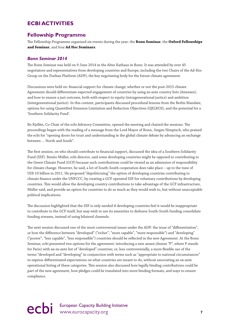## **ECBI ACTIVITIES**

### **Fellowship Programme**

Te Fellowship Programme organised six events during the year: the **Bonn Seminar**, the **Oxford Fellowships and Seminar**, and four **Ad Hoc Seminars**.

#### *Bonn Seminar 2014*

The Bonn Seminar was held on 9 June 2014 in the Altes Rathaus in Bonn. It was attended by over 45 negotiators and representatives from developing countries and Europe, including the two Chairs of the Ad-Hoc Group on the Durban Platform (ADP), the key negotiating body for the future climate agreement.

Discussions were held on: fnancial support for climate change; whether or not the post-2015 climate Agreement should diferentiate expected engagement of countries by using ex-ante country lists (Annexes); and how to ensure a just outcome, both with respect to equity (intragenerational justice) and ambition (intergenerational justice). In this context, participants discussed procedural lessons from the Berlin Mandate, options for using Quantifed Emission Limitation and Reduction Objectives (QELROS), and the potential for a 'Southern Solidarity Fund'.

Bo Kjellén, Co-Chair of the ecbi Advisory Committee, opened the meeting and chaired the sessions. The proceedings began with the reading of a message from the Lord Mayor of Bonn, Jürgen Nimptsch, who praised the ecbi for "opening doors for trust and understanding in the global climate debate by advancing an exchange between … North and South".

The first session, on who should contribute to financial support, discussed the idea of a Southern Solidarity Fund (SSF). Benito Müller, ecbi director, said some developing countries might be opposed to contributing to the Green Climate Fund (GCF) because such contributions could be viewed as an admission of responsibility for climate change. However, he said, a lot of South-South cooperation does take place – up to the tune of US\$ 10 billion in 2011. He proposed "depoliticizing" the option of developing countries contributing to climate fnance under the UNFCCC, by creating a GCF operated SSF for voluntary contributions by developing countries. Tis would allow the developing country contributions to take advantage of the GCF infrastructure, Müller said, and provide an option for countries to do as much as they would wish to, but without unacceptable political implications.

The discussion highlighted that the SSF is only needed if developing countries feel it would be inappropriate to contribute to the GCF itself, but may wish to use its amenities to disburse South-South funding consolidate funding streams, instead of using bilateral channels.

The next session discussed one of the most controversial issues under the ADP: the issue of "differentiation", or how the diference between "developed" ("richer", "more capable", "more responsible") and "developing" ("poorer", "less capable", "less responsible") countries should be refected in the new Agreement. At the Bonn Seminar, ecbi presented two options for the agreement: introducing a new annex (Annex "P", where P stands for Paris) with an ex-ante list of "developed" countries; or, less controversially, a more fexible use of the terms "developed and "developing" in conjunction with terms such as "appropriate to national circumstances" to express diferentiated expectations on what countries are meant to do, without associating an ex-ante operational listing of these categories. Tis session also discussed how legally binding contributions could be part of the new agreement, how pledges could be translated into more binding formats, and ways to ensure compliance.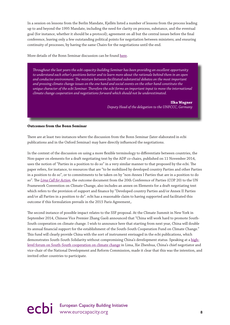In a session on lessons from the Berlin Mandate, Kjellén listed a number of lessons from the process leading up to and beyond the 1995 Mandate, including the need for clarity on process, substance, and the eventual goal (for instance, whether it should be a protocol); agreement on all but the central issues before the fnal conference, leaving only a few outstanding political points for negotiation between ministers; and ensuring continuity of processes, by having the same Chairs for the negotiations until the end.

More details of the Bonn Seminar discussion can be found here.

*Troughout the last years the ecbi capacity-building Seminar has been providing an excellent opportunity to understand each other's positions better and to learn more about the rationale behind them in an open and conducive environment. Te mixture between facilitated substantial debates on the most important and pressing climate change issues on the one hand and social events on the other hand constitute the unique character of the ecbi Seminar. Terefore the ecbi forms an important input to move the international climate change cooperation and negotiations forward which should not be underestimated.*

#### **Ilka Wagner**

*Deputy Head of the delegation to the UNFCCC, Germany*

#### **Outcomes from the Bonn Seminar**

There are at least two instances where the discussion from the Bonn Seminar (later elaborated in ecbi publications and in the Oxford Seminar) may have directly infuenced the negotiations.

In the context of the discussion on using a more fexible terminology to diferentiate between countries, the Non-paper on elements for a draft negotiating text by the ADP co-chairs, published on 11 November 2014, uses the notion of "Parties in a position to do so" in a very similar manner to that proposed by the ecbi. The paper refers, for instance, to resources that are "to be mobilized by developed country Parties and other Parties in a position to do so", or to commitments to be taken on by "non-Annex I Parties that are in a position to do so". The *Lima Call for Action*, the outcome document from the 20th Conference of Parties (COP 20) to the UN Framework Convention on Climate Change, also includes an annex on Elements for a draft negotiating text which refers to the provision of support and fnance by "Developed country Parties and/or Annex II Parties and/or all Parties in a position to do". ecbi has a reasonable claim to having supported and facilitated this outcome if this formulation prevails in the 2015 Paris Agreement,.

The second instance of possible impact relates to the SSF proposal. At the Climate Summit in New York in September 2014, Chinese Vice Premier Zhang Gaoli announced that "China will work hard to promote South-South cooperation on climate change. I wish to announce here that starting from next year, China will double its annual fnancial support for the establishment of the South-South Cooperation Fund on Climate Change." Tis fund will clearly provide China with the sort of instrument envisaged in the ecbi publications, which demonstrates South-South Solidarity without compromising China's development status. Speaking at a highlevel forum on South-South cooperation on climate change in Lima, Xie Zhenhua, China's chief negotiator and vice-chair of the National Development and Reform Commission, made it clear that this was the intention, and invited other countries to participate.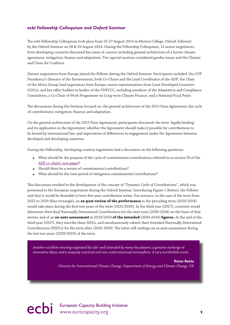#### *ecbi Fellowship Colloquium and Oxford Seminar*

The ecbi Fellowship Colloquium took place from 25-27 August 2014 in Merton College, Oxford, followed by the Oxford Seminar on 28 & 29 August 2014. During the Fellowship Colloquium, 13 senior negotiators from developing countries discussed key areas of concern including general architecture of a future climate agreement, mitigation, fnance and adaptation. Two special sessions considered gender issues and the Climate and Clean Air Coalition.

Sixteen negotiators from Europe joined the Fellows during the Oxford Seminar. Participants included: the COP Presidency's Director of the Environment; both Co-Chairs and the Lead Coordinator of the ADP; the Chair of the Africa Group; lead negotiators from Europe; senior representatives from Least Developed Countries (LDCs); and key office holders in bodies of the UNFCCC, including members of the Adaptation and Compliance Committees, a Co-Chair of Work Programme on Long-term Climate Finance, and a National Focal Point.

The discussions during the Seminar focused on: the general architecture of the 2015 Paris Agreement; the cycle of contributions; mitigation; fnance; and adaptation.

On the general architecture of the 2015 Paris Agreement, participants discussed: the term 'legally binding' and its application in the Agreement; whether the Agreement should make it possible for contributions to be bound by international law; and expectation of diferences in engagement under the Agreement between developed and developing countries.

During the Fellowship, developing country negotiators had a discussion on the following questions:

- What should be the purpose of the cycle of commitments/contributions referred to in section IX of the ADP co-chairs' non-paper?
- Should there be a review of commitments/contributions?
- What should be the time period of mitigation commitments/contributions?

Tis discussion resulted in the development of the concept of "Dynamic Cycle of Contributions", which was presented to the European negotiators during the Oxford Seminar. Introducing Figure 1 (below), the Fellows said that it would be desirable to have fve-year contribution terms. For instance, in the case of the term from 2025 to 2029 (blue rectangle), an **ex-post review of the performance** in the preceding term (2020-2024) would take place during the frst two years of the term (2025/2026). In the third year (2027), countries would determine their fnal Nationally Determined Contributions for the next term (2030-2034) on the basis of that review, and of an **ex-ante assessment** in 2023/2024 **of the intended** (2030-2034) **fgures**. At the end of the third year (2027), they inscribe these NDCs, and simultaneously submit their Intended Nationally Determined Contributions (INDCs) for the term after (2035-2039). The latter will undergo an ex-ante assessment during the last two years (2028/2029) of the term.

*Another excellent meeting organized by ecbi: well attended by many key players; a genuine exchange of innovative ideas; and a uniquely convivial and non-confrontational atmosphere. A very worthwhile event.*

**Peter Betts**

*Director for International Climate Change, Department of Energy and Climate Change, UK*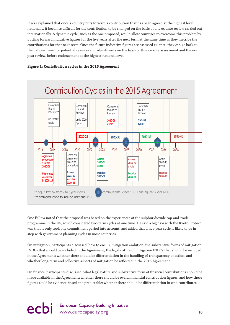It was explained that once a country puts forward a contribution that has been agreed at the highest level nationally, it becomes difficult for the contribution to be changed on the basis of any ex-ante review carried out internationally. A dynamic cycle, such as the one proposed, would allow countries to overcome this problem by putting forward indicative fgures for the fve years after the next term at the same time as they inscribe the contributions for that next term. Once the future indicative fgures are assessed ex-ante, they can go back to the national level for potential revision and adjustments on the basis of this ex-ante assessment and the expost review, before endorsement at the highest national level.



#### **Figure 1: Contribution cycles in the 2015 Agreement**

One Fellow noted that the proposal was based on the experiences of the sulphur dioxide cap-and-trade programme in the US, which considered two-term cycles at one time. He said a big faw with the Kyoto Protocol was that it only took one commitment period into account, and added that a fve-year cycle is likely to be in step with government planning cycles in most countries.

On mitigation, participants discussed: how to ensure mitigation ambition; the substantive forms of mitigation INDCs that should be included in the Agreement; the legal nature of mitigation INDCs that should be included in the Agreement; whether there should be diferentiation in the handling of transparency of action; and whether long-term and collective aspects of mitigation be refected in the 2015 Agreement.

On fnance, participants discussed: what legal nature and substantive form of fnancial contributions should be made available in the Agreement; whether there should be overall fnancial contribution fgures, and how these fgures could be evidence-based and predictable; whether there should be diferentiation in who contributes

ecbi European Capacity Building Initiative www.eurocapacity.org 10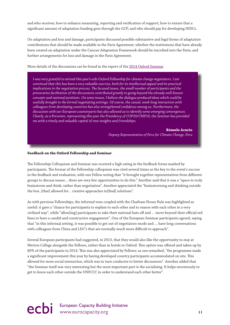and who receives; how to enhance measuring, reporting and verifcation of support; how to ensure that a signifcant amount of adaptation funding goes through the GCF; and who should pay for developing INDCs.

On adaptation and loss and damage, participants discussed possible substantive and legal forms of adaptation contributions that should be made available in the Paris Agreement; whether the institutions that have already been created on adaptation under the Cancun Adaptation Framework should be inscribed into the Paris; and further arrangements for loss and damage in the Paris Agreement.

More details of the discussions can be found in the report of the 2014 Oxford Seminar.

*I was very grateful to attend this year's ecbi Oxford Fellowship for climate change negotiators. I am convinced that this has been a very valuable exercise, both for its intellectual appeal and its practical implications in the negotiation process. Te focused issues, the small number of participants and the provocative facilitation of the discussions contributed greatly to going beyond the already well-known concepts and national positions. On some issues, I believe the dialogue produced ideas which could be usefully brought to the formal negotiating settings. Of course, the casual, week-long interaction with colleagues from developing countries has also strengthened confdence among us. Furthermore, the discussion with our European counterparts has also allowed us to identify some emerging convergences. Clearly, as a Peruvian, representing this year the Presidency of COP20/CMP10, the Seminar has provided me with a timely and valuable capital of new insights and friendships.*

**Rómulo Acurio**

*Deputy Representative of Peru for Climate Change, Peru*

#### **Feedback on the Oxford Fellowship and Seminar**

The Fellowship Colloquium and Seminar was received a high rating in the feedback forms marked by participants. The format of the Fellowship colloquium was cited several times as the key to the event's success in the feedback and evaluation, with one Fellow noting that "it brought together representatives from diferent groups to discuss issues… there are very few opportunities to do this." Another said that it was a "space to truly brainstorm and think, rather than negotiation". Another appreciated the "brainstorming and thinking outside the box..[that] allowed for .. creative approaches to[fnd] solutions".

As with previous Fellowships, the informal tone coupled with the Chatham House Rule was highlighted as useful: it gave a "chance for participants to explain to each other and to reason with each other in a very civilised way", while "allow[ing] participants to take their national hats off and ... move beyond their official red lines to have a candid and constructive engagement". One of the European Seminar participants agreed, saying that "in this informal setting, it was possible to get out of negotiators-mode and … have long conversations with colleagues from China and LDC's that are normally much more difficult to approach".

Several European participants had suggested, in 2013, that they would also like the opportunity to stay at Merton College alongside the Fellows, rather than in hotels in Oxford. Tis option was ofered and taken up by 80% of the participants in 2014. Tis was also appreciated by Fellows: as one remarked, "the programme made a signifcant improvement this year by having developed country participants accommodated on site. Tis allowed for more social interaction, which was in turn conducive to better discussions". Another added that "the Seminar itself was very interesting but the most important part is the socialising. It helps enormously to get to know each other outside the UNFCCC in order to understand each other better".

## ecbi European Capacity Building Initiative www.eurocapacity.org **11**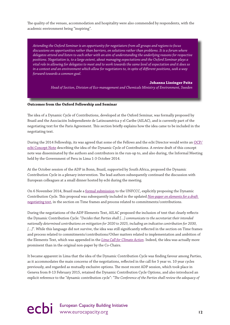The quality of the venues, accommodation and hospitality were also commended by respondents, with the academic environment being "inspiring".

*Attending the Oxford Seminar is an opportunity for negotiators from all groups and regions to focus discussions on opportunities rather than barriers, on solutions rather than problems. It is a forum where delegates attend and listen to each other with an aim of understanding the underlying reasons for respective positions. Negotiation is, to a large extent, about managing expectations and the Oxford Seminar plays a vital role in allowing for delegates to meet and to work towards the same level of expectation and it does so in a context and an environment which allow for negotiators to, in spite of diferent positions, seek a way forward towards a common goal.*

#### **Johanna Lissinger Peitz**

*Head of Section, Division of Eco-management and Chemicals Ministry of Environment, Sweden*

#### **Outcomes from the Oxford Fellowship and Seminar**

The idea of a Dynamic Cycle of Contributions, developed at the Oxford Seminar, was formally proposed by Brazil and the Asociación Independiente de Latinoamérica y el Caribe (AILAC), and is currently part of the negotiating text for the Paris Agreement. This section briefly explains how the idea came to be included in the negotiating text.

During the 2014 Fellowship, its was agreed that some of the Fellows and the ecbi Director would write an OCP/ ecbi Concept Note describing the idea of the Dynamic Cycle of Contributions. A review draft of this concept note was disseminated by the authors and contributors in the run-up to, and also during, the Informal Meeting held by the Government of Peru in Lima 1-3 October 2014.

At the October session of the ADP in Bonn, Brazil, supported by South Africa, proposed the Dynamic Contribution Cycle in a plenary intervention. The lead authors subsequently continued the discussion with European colleagues at a small dinner hosted by ecbi during the meeting.

On 6 November 2014, Brazil made a formal submission to the UNFCCC, explicitly proposing the Dynamic Contribution Cycle. Tis proposal was subsequently included in the updated *Non-paper on elements for a draft negotiating text*, in the section on Time frames and process related to commitments/contributions.

During the negotiations of the ADP Elements Text, AILAC proposed the inclusion of text that clearly refects the Dynamic Contribution Cycle: "*Decides that Parties shall […] communicate to the secretariat their intended nationally determined contributions on mitigation for 2020 to 2025, including an indicative contribution for 2030,*  [...]". While this language did not survive, the idea was still significantly reflected in the section on Time frames and process related to commitments/contributions/Other matters related to implementation and ambition of the Elements Text, which was appended in the *Lima Call for Climate Action*. Indeed, the idea was actually more prominent than in the original non-paper by the Co-Chairs.

It became apparent in Lima that the idea of the Dynamic Contribution Cycle was fnding favour among Parties, as it accommodates the main concerns of the negotiations, refected in the call for 5 year vs. 10 year cycles previously, and regarded as mutually exclusive options. The most recent ADP session, which took place in Geneva from 8-13 February 2015, retained the Dynamic Contribution Cycle Options, and also introduced an explicit reference to the "dynamic contribution cycle": "*Te Conference of the Parties shall review the adequacy of*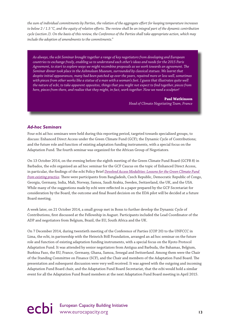*the sum of individual commitments by Parties, the relation of the aggregate efort for keeping temperature increases to below 2 / 1.5 °C, and the equity of relative eforts. Te review shall be an integral part of the dynamic contribution cycle (section J). On the basis of this review, the Conference of the Parties shall take appropriate action, which may include the adoption of amendments to the commitments*."

*As always, the ecbi Seminar brought together a range of key negotiators from developing and European countries to exchange freely, enabling us to understand each other's ideas and needs for the 2015 Paris Agreement, to start to explore ways we might recombine proposals as we work towards an agreement. Te Seminar dinner took place in the Ashmolean Museum, surrounded by classical statues. We learnt that despite initial appearances, many had been patched up over the years, repaired more or less well, sometimes with pieces from other works like a statue of a man with a woman's feet. I guess that illustrates quite well the nature of ecbi, to take apparent opposites, things that you might not expect to fnd together, pieces from here, pieces from there, and realize that they might, in fact, work together. Now we need a sculptor!*

> **Paul Watkinson** *Head of Climate Negotiating Team, France*

#### *Ad-hoc Seminars*

Four ecbi ad hoc seminars were held during this reporting period, targeted towards specialized groups, to discuss: Enhanced Direct Access under the Green Climate Fund (GCF); the Dynamic Cycle of Contributions; and the future role and function of existing adaptation funding instruments, with a special focus on the Adaptation Fund. The fourth seminar was organized for the African Group of Negotiators.

On 13 October 2014, on the evening before the eighth meeting of the Green Climate Fund Board (GCFB 8) in Barbados, the ecbi organised an ad hoc seminar for the GCF Caucus on the topic of Enhanced Direct Access, in particular, the fndings of the ecbi Policy Brief *Devolved Access Modalities: Lessons for the Green Climate Fund from existing practice*. There were participants from Bangladesh, Czech Republic, Democratic Republic of Congo, Georgia, Germany, India, Mali, Norway, Samoa, Saudi Arabia, Sweden, Switzerland, the UK, and the USA. While many of the suggestions made by ecbi were refected in a paper prepared by the GCF Secretariat for consideration by the Board, the outcome and fnal Board decision on the EDA pilot will be decided at a future Board meeting.

A week later, on 21 October 2014, a small group met in Bonn to further develop the Dynamic Cycle of Contributions, frst discussed at the Fellowship in August. Participants included the Lead Coordinator of the ADP and negotiators from Belgium, Brazil, the EU, South Africa and the UK.

On 7 December 2014, during twentieth meeting of the Conference of Parties (COP 20) to the UNFCCC in Lima, the ecbi, in partnership with the Heinrich Böll Foundation, arranged an ad hoc seminar on the future role and function of existing adaptation funding instruments, with a special focus on the Kyoto Protocol Adaptation Fund. It was attended by senior negotiators from Antigua and Barbuda, the Bahamas, Belgium, Burkina Faso, the EU, France, Germany, Ghana, Samoa, Senegal and Switzerland. Among them were the Chair of the Standing Committee on Finance (SCF), and the Chair and members of the Adaptation Fund Board. The presentation and subsequent discussion were very well received. It was agreed with the outgoing and incoming Adaptation Fund Board chair, and the Adaptation Fund Board Secretariat, that the ecbi would hold a similar event for all the Adaptation Fund Board members at the next Adaptation Fund Board meeting in April 2015.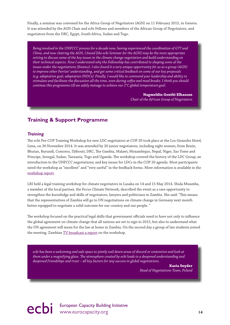Finally, a seminar was convened for the Africa Group of Negotiators (AGN) on 11 February 2015, in Geneva. It was attended by the AGN Chair and ecbi Fellows and members of the African Group of Negotiators, and negotiators from the DRC, Egypt, South Africa, Sudan and Togo.

*Being involved in the UNFCCC process for a decade now, having experienced the coordination of G77 and China, and now chairing the AGN, I found [the ecbi Seminar for the AGN] may be the most appropriate setting to discuss some of the key issues in the climate change negotiation and build understanding on their technical aspects. Now I understand why the Fellowship has contributed to shaping some of the issues under the negotiations (fnance). I also found it a very unique opportunity for us as a group (AGN) to improve other Parties' understanding, and get some critical feedback on some of our key proposals (e.g. adaptation goal, adaptation INDCs). Finally, I would like to commend your leadership and ability to stimulate and facilitate the discussion all the time, even during cofee and meal breaks. I think you should continue this programme till we safely manage to achieve our 2°C global temperature goal.*

> **Nagmeldin Goutbi Elhassan** *Chair of the African Group of Negotiators*

## **Training & Support Programme**

#### *Training*

The ecbi Pre-COP Training Workshop for new LDC negotiators at COP 20 took place at the Los Girasoles Hotel, Lima, on 30 November 2014. It was attended by 20 junior negotiators, including eight women, from Benin, Bhutan, Burundi, Comoros, Djibouti, DRC, The Gambia, Malawi, Mozambique, Nepal, Niger, Sao Tome and Principe, Senegal, Sudan, Tanzania, Togo and Uganda. The workshop covered the history of the LDC Group; an introduction to the UNFCCC negotiations; and key issues for LDCs in the COP 20 agenda. Most participants rated the workshop as "excellent" and "very useful" in the feedback forms. More information is available in the workshop report.

LRI held a legal training workshop for climate negotiators in Lusaka on 14 and 15 May 2014. Shula Mwamba, a member of the local partner, the Focus Climate Network, described the event as a rare opportunity to strengthen the knowledge and skills of negotiators, lawyers and politicians in Zambia. She said: "Tis means that the representatives of Zambia will go to UN negotiations on climate change in Germany next month better equipped to negotiate a solid outcome for our country and our people. "

The workshop focused on the practical legal skills that government officials need to have not only to influence the global agreement on climate change that all nations are set to sign in 2015, but also to understand what the UN agreement will mean for the law at home in Zambia. On the second day a group of law students joined the meeting. Zambian TV broadcast a report on the workshop.

*ecbi has been a welcoming and safe space to jointly nail down areas of discord or contention and look at them under a magnifying glass. Te atmosphere created by ecbi leads to a deepened understanding and deepened friendships and trust – all key factors for any success in global negotiations.*

> **Kasia Snyder** *Head of Negotiations Team, Poland*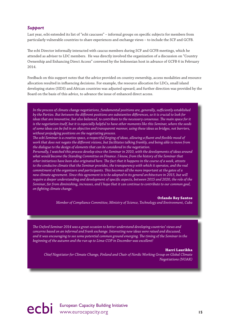#### *Support*

Last year, ecbi extended its list of "ecbi caucuses" – informal groups on specifc subjects for members from particularly vulnerable countries to share experiences and exchange views – to include the SCF and GCFB.

The ecbi Director informally interacted with caucus members during SCF and GCFB meetings, which he attended as adviser to LDC members. He was directly involved the organization of a discussion on "Country Ownership and Enhancing Direct Access" convened by the Indonesian host in advance of GCFB 6 in February 2014.

Feedback on this support notes that the advice provided on country ownership, access modalities and resource allocation resulted in infuencing decisions. For example, the resource allocation for LDCs, small island developing states (SIDS) and African countries was adjusted upward; and further direction was provided by the Board on the basis of this advice, to advance the issue of enhanced direct access.

*In the process of climate change negotiations, fundamental positions are, generally, sufciently established by the Parties. But between the diferent positions are substantive diferences, so it is crucial to look for ideas that are innovative, but also balanced, to contribute to the necessary consensus. Te main space for it is the negotiation itself, but it is especially helpful to have other moments like this Seminar, where the seeds of some ideas can be fed in an objective and transparent manner, using these ideas as bridges, not barriers, without prejudging positions on the negotiating process.* 

*Te ecbi Seminar is a creative space, a respectful forging of ideas, allowing a fuent and fexible mood of work that does not negate the diferent visions, but facilitates talking frankly, and being able to move from the dialogue to the design of elements that can be considered in the negotiation.* 

*Personally, I watched this process develop since the Seminar in 2010, with the developments of ideas around what would become the Standing Committee on Finance. I know, from the history of the Seminar that other initiatives have been also originated here. Te fact that it happens in the course of a week, attests to the conducive climate that the Seminar provides, the transparency with which it operates, and the real commitment of the organizers and participants. Tis becomes all the more important at the gates of a new climate agreement. Since this agreement is to be adopted in its general architecture in 2015, but will require a deeper understanding and development of specifc aspects, between 2015 and 2020, the role of the Seminar, far from diminishing, increases, and I hope that it can continue to contribute to our common goal, on fghting climate change.*

#### **Orlando Rey Santos**

*Member of Compliance Committee, Ministry of Science, Technology and Environment, Cuba*

*Te Oxford Seminar 2014 was a great occasion to better understand developing countries' views and concerns based on an informal and frank exchange. Interesting new ideas were raised and discussed, and it was encouraging to see some potential common ground emerging. Te timing of the Seminar in the beginning of the autumn and the run up to Lima-COP in December was excellent!*

#### **Harri Laurikka**

*Chief Negotiator for Climate Change, Finland and Chair of Nordic Working Group on Global Climate Negotiations (NOAK)*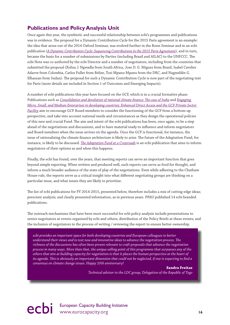## **Publications and Policy Analysis Unit**

Once again this year, the symbiotic and successful relationship between ecbi's programmes and publications was in evidence. The proposal for a Dynamic Contribution Cycle for the 2015 Paris agreement is an example: the idea that arose out of the 2014 Oxford Seminar, was evolved further in the Bonn Seminar and in an ecbi publication (*A Dynamic Contribution Cycle: Sequencing Contributions in the 2015 Paris Agreement*), and in turn, became the basis for a number of submissions by Parties (including Brazil and AILAC) to the UNFCCC. The ecbi Note was co-authored by the ecbi Director and a number of negotiators, including from the countries that submitted the proposal (Xolisa J. Ngwadla from South Africa, Jose D. G. Miguez from Brazil, Isabel Cavelier Adarve from Colombia, Carlos Fuller from Belize, Tosi Mpanu-Mpanu from the DRC, and Nagmeldin G. Elhassan from Sudan). The proposal for such a Dynamic Contribution Cycle is now part of the negotiating text for Paris (more details are included in Section 1 of Outcomes and Emerging Impacts).

A number of ecbi publications this year have focused on the GCF, which is in a crucial formative phase. Publications such as *Consolidation and devolution of national climate fnance: Te case of India* and *Engaging Micro, Small, and Medium Enterprises in developing countries: Enhanced Direct Access and the GCF Private Sector Facility* aim to encourage GCF Board members to consider the functioning of the GCF from a bottom-up perspective, and take into account national needs and circumstances as they design the operational policies of this new and crucial Fund. The aim and intent of the ecbi publications has been, once again, to be a step ahead of the negotiations and discussions, and to have material ready to infuence and inform negotiators and Board members when the issue arrives on the agenda. Once the GCF is functional, for instance, the issue of rationalizing the climate finance architecture is likely to arise. The future of the Adaptation Fund, for instance, is likely to be discussed. *Te Adaptation Fund at a Crossroads* is an ecbi publication that aims to inform negotiators of their options as and when this happens.

Finally, the ecbi has found, over the years, that meeting reports can serve an important function that goes beyond simple reporting. When written and produced well, such reports can serve as food for thought, and inform a much broader audience of the state of play of the negotiations. Even while adhering to the Chatham House rule, the reports serve as a critical insight into what diferent negotiating groups are thinking on a particular issue, and what issues they are likely to prioritise.

The list of ecbi publications for FY 2014-2015, presented below, therefore includes a mix of cutting-edge ideas; prescient analysis; and clearly presented information, as in previous years. PPAU published 14 ecbi branded publications.

The outreach mechanisms that have been most successful for ecbi policy analysis include presentations to senior negotiators at events organized by ecbi and others; distribution of the Policy Briefs at these events; and the inclusion of negotiators in the process of writing / reviewing the report to ensure better ownership.

*ecbi provides an important space for both developing countries and European colleagues to better understand their views and to test new and innovative ideas to advance the negotiation process. Te richness of the discussions has often been proven relevant to craft proposals that advance the negotiation process in many ways. More than that, the unique selling point of this programme that surpasses any of the others that aim at building capacity for negotiation is that it places the human perspective at the heart of its agenda. Tis is obviously an important dimension that could not be neglected, if one is expecting to fnd a consensus on climate change issues. Happy 10th anniversary!*

**Sandra Freitas**

*Technical advisor to the LDC group, Delegation of the Republic of Togo*

ecbi European Capacity Building Initiative<br> **16** www.eurocapacity.org **16**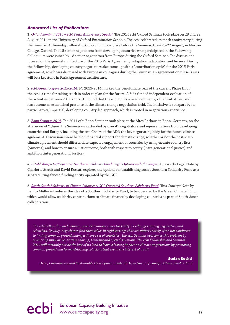#### *Annotated List of Publications*

1. *Oxford Seminar 2014 – ecbi Tenth Anniversary Special*. The 2014 ecbi Oxford Seminar took place on 28 and 29 August 2014 in the University of Oxford Examination Schools. The ecbi celebrated its tenth anniversary during the Seminar. A three-day Fellowship Colloquium took place before the Seminar, from 25-27 August, in Merton College, Oxford. The 15 senior negotiators from developing countries who participated in the Fellowship Colloquium were joined by 18 senior negotiators from Europe during the Oxford Seminar. The discussions focused on the general architecture of the 2015 Paris Agreement, mitigation, adaptation and fnance. During the Fellowship, developing country negotiators also came up with a "contribution cycle" for the 2015 Paris agreement, which was discussed with European colleagues during the Seminar. An agreement on these issues will be a keystone in Paris Agreement architecture.

2. *ecbi Annual Report 2013-2014*. FY 2013-2014 marked the penultimate year of the current Phase III of the ecbi, a time for taking stock in order to plan for the future. A Sida funded independent evaluation of the activities between 2011 and 2013 found that the ecbi fulfls a need not met by other initiatives, and has become an established presence in the climate change negotiation field. The initiative is set apart by its participatory, impartial, developing country-led approach, which is rooted in negotiation experience.

3. *Bonn Seminar 2014*. The 2014 ecbi Bonn Seminar took place at the Altes Rathaus in Bonn, Germany, on the afternoon of 9 June. The Seminar was attended by over 45 negotiators and representatives from developing countries and Europe, including the two Chairs of the ADP, the key negotiating body for the future climate agreement. Discussions were held on: fnancial support for climate change; whether or not the post-2015 climate agreement should diferentiate expected engagement of countries by using ex-ante country lists (Annexes); and how to ensure a just outcome, both with respect to equity (intra-generational justice) and ambition (intergenerational justice).

4. *Establishing a GCF operated Southern Solidarity Fund: Legal Options and Challenges*. A new ecbi Legal Note by Charlotte Streck and David Rossati explores the options for establishing such a Southern Solidarity Fund as a separate, ring-fenced funding entity operated by the GCF.

5. South-South Solidarity in Climate Finance: A GCF Operated Southern Solidarity Fund. This Concept Note by Benito Müller introduces the idea of a Southern Solidarity Fund, to be operated by the Green Climate Fund, which would allow solidarity contributions to climate fnance by developing countries as part of South-South collaboration.

*Te ecbi Fellowship and Seminar provide a unique space for fruitful exchanges among negotiators and scientists. Usually, negotiators fnd themselves in rigid settings that are unfortunately often not conducive to fnding common ground among a diverse set of countries. Te ecbi Seminar overcomes this problem by promoting innovative, at times daring, thinking and open discussions. Te ecbi Fellowship and Seminar 2014 will certainly not be the last of its kind to leave a lasting impact on climate negotiations by promoting common ground and forward-looking solutions that are in the interest of us all.*

#### **Stefan Ruchti**

*Head, Environment and Sustainable Development, Federal Department of Foreign Afairs, Switzerland*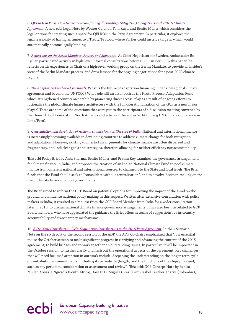6. *QELROs in Paris: How to Create Room for Legally Binding (Mitigation) Obligations in the 2015 Climate* 

*Agreement*. A new ecbi Legal Note by Wouter Geldhof, Tom Ruys, and Benito Müller which considers the legal options for creating such a space for QELROs in the Paris Agreement. In particular, it explores the legal feasibility of having an annex to a Treaty/Protocol where Parties could inscribe targets, which would automatically become legally binding.

7. *Refections on the Berlin Mandate: Process and Substance*. As Chief Negotiator for Sweden, Ambassador Bo Kjellén participated actively in high-level informal consultations before COP 1 in Berlin. In this paper, he refects on his experiences as Chair of a high-level working group on the Berlin Mandate, to provide an insider's view of the Berlin Mandate process, and draw lessons for the ongoing negotiations for a post-2020 climate regime.

8. *Te Adaptation Fund at a Crossroads*. What is the future of adaptation fnancing under a new global climate agreement and beyond the UNFCCC? What role will an actor such as the Kyoto Protocol Adaptation Fund, which strengthened country ownership by pioneering direct access, play as a result of ongoing efforts to rationalize the global climate fnance architecture with the full operationalization of the GCF as a new major player? These are some of the questions that were put to the participants of a discussion meeting convened by the Heinrich Böll Foundation North America and ecbi on 7 December 2014 (during UN Climate Conference in Lima/Peru).

9. *Consolidation and devolution of national climate fnance: Te case of India*. National and international fnance is increasingly becoming available in developing countries to address climate change for both mitigation and adaptation. However, existing (domestic) arrangements for climate fnance are often dispersed and fragmentary, and lack clear goals and strategies, therefore allowing for neither efficiency nor accountability.

Tis ecbi Policy Brief by Anju Sharma, Benito Müller, and Pratim Roy examines the governance arrangements for climate fnance in India, and proposes the creation of an Indian National Climate Fund to pool climate finance from different national and international sources, to channel it to the State and local levels. The Brief funds that the Fund should seek to "consolidate without centralisation", and to devolve decision-making on the use of climate fnance to local governments.

The Brief aimed to inform the GCF Board on potential options for improving the impact of the Fund on the ground, and infuence national policy making in this respect. Written after extensive consultation with policy makers in India, it resulted in a request from the GCF Board Member from India for a wider consultation later in 2015, to discuss national climate fnance governance arrangements. It has also been circulated to GCF Board members, who have appreciated the guidance the Brief offers in terms of suggestions for in-country accountability and transparency mechanisms.

10. *A Dynamic Contribution Cycle: Sequencing Contributions in the 2015 Paris Agreement*. In their Scenario Note on the sixth part of the second session of the ADP, the ADP Co-chairs emphasized that "it is essential to use the October session to make signifcant progress in clarifying and advancing the content of the 2015 agreement, to build bridges and to work together on outstanding issues. In particular, it will be important in the October session, to further clarify and fesh out the operational aspects of the agreement. Key challenges that will need focussed attention in our work include: deepening the understanding on the longer-term cycle of contributions/ commitments, including its periodicity (length) and the functions of the steps proposed, such as any periodical consideration or assessment and review". This ecbi/OCP Concept Note by Benito Müller, Xolisa J. Ngwadla (South Africa), Jose D. G. Miguez (Brazil) with Isabel Cavelier Adarve (Colombia),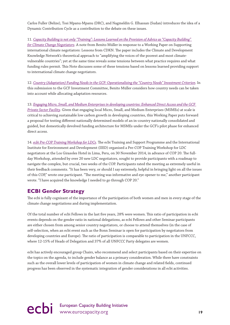Carlos Fuller (Belize), Tosi Mpanu-Mpanu (DRC), and Nagmeldin G. Elhassan (Sudan) introduces the idea of a Dynamic Contribution Cycle as a contribution to the debate on these issues.

11. *Capacity Building is not only "Training": Lessons Learned on the Provision of Advice as "Capacity Building" for Climate Change Negotiators*. A note from Benito Müller in response to a Working Paper on Supporting international climate negotiators: Lessons from CDKN. The paper includes the Climate and Development Knowledge Network's theoretical approach to "amplifying the voices of the poorest and most climatevulnerable countries"; yet at the same time reveals some tensions between what practice requires and what funding rules permit. This Note discusses some of these tensions based on lessons learned providing support to international climate change negotiators.

12. *Country (Adaptation) Funding Needs in the GCF: Operationalising the "Country Needs" Investment Criterion*. In this submission to the GCF Investment Committee, Benito Müller considers how country needs can be taken into account while allocating adaptation resources.

13. *Engaging Micro, Small, and Medium Enterprises in developing countries: Enhanced Direct Access and the GCF Private Sector Facility*. Given that engaging local Micro, Small, and Medium Enterprises (MSMEs) at scale is critical to achieving sustainable low carbon growth in developing countries, this Working Paper puts forward a proposal for testing diferent nationally determined models of an in-country nationally consolidated and guided, but domestically devolved funding architecture for MSMEs under the GCF's pilot phase for enhanced direct access.

14. *ecbi Pre-COP Training Workshop for LDCs*. Te ecbi Training and Support Programme and the International Institute for Environment and Development (IIED) organised a Pre-COP Training Workshop for LDC negotiators at the Los Girasoles Hotel in Lima, Peru, on 30 November 2014, in advance of COP 20. The fullday Workshop, attended by over 20 new LDC negotiators, sought to provide participants with a roadmap to navigate the complex, but crucial, two weeks of the COP. Participants rated the meeting as extremely useful in their feedback comments. "It has been very, or should I say extremely, helpful in bringing light on all the issues of this COP," wrote one participant. "Te meeting was informative and eye opener to me," another participant wrote. "I have acquired the knowledge I needed to go through COP 20."

### **ECBI Gender Strategy**

The ecbi is fully cognizant of the importance of the participation of both women and men in every stage of the climate change negotiations and during implementation.

Of the total number of ecbi Fellows in the last fve years, 28% were women. Tis ratio of participation in ecbi events depends on the gender ratio in national delegations, as ecbi Fellows and other Seminar participants are either chosen from among senior country negotiators, or choose to attend themselves (in the case of self-selection, when an ecbi event such as the Bonn Seminar is open for participation by negotiators from developing countries and Europe). The ratio of participation is comparable to participation in the UNFCCC, where 12-15% of Heads of Delegation and 37% of all UNFCCC Party delegates are women.

ecbi has actively encouraged group Chairs, who recommend and select participants based on their expertise on the topics on the agenda, to include gender balance as a primary consideration. While there have constraints such as the overall lower levels of participation of women in climate change and related felds, continued progress has been observed in the systematic integration of gender considerations in all ecbi activities.